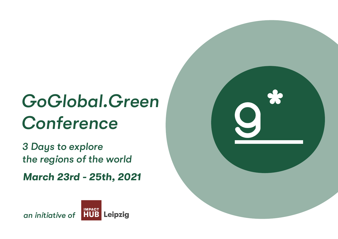# *GoGlobal.Green Conference 3 Days to explore*

- 
- *the regions of the world*



*March 23rd - 25th, 2021* 

*an initiative of*

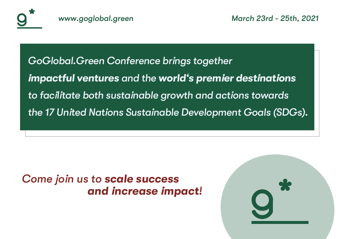





### *Come join us to scale success and increase impact!*





## *GoGlobal.Green Conference brings together impactful ventures and the world's premier destinations to facilitate both sustainable growth and actions towards the 17 United Nations Sustainable Development Goals (SDGs).*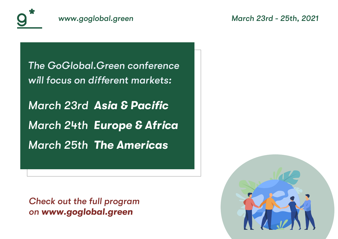



# *The GoGlobal.Green conference*







will focus on different markets: *March 23rd* **Asia & Pacific** *March 24th Europe & Africa March 25th The Americas*

#### Check out the full program *on www.goglobal.green*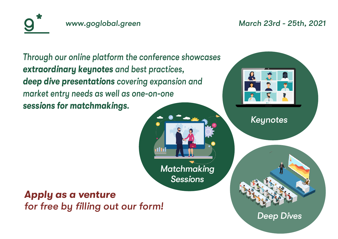



### *[Apply as a venture](https://docs.google.com/forms/d/1PfgLR9-NVgz8NgG7GKnWaL48JUGhsmXcbbzIKKNE-IQ/edit?usp=sharing)* for free by filling out our form!



### Through our online platform the conference showcases *extraordinary keynotes and best practices, deep dive presentations covering expansion and market entry needs as well as one-on-one sessions for matchmakings.*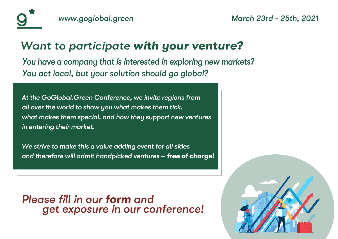





*At the GoGlobal.Green Conference, we invite regions from all over the world to show you what makes them tick, what makes them special, and how they support new ventures in entering their market.*

*We strive to make this a value adding event for all sides and therefore will admit handpicked ventures – free of charge!*

### Please fill in our *[form](https://forms.gle/MxesaJfQZ5aAJpWLA) and get exposure in our conference!*



### *Want to participate with your venture? You have a company that is interested in exploring new markets? You act local, but your solution should go global?*